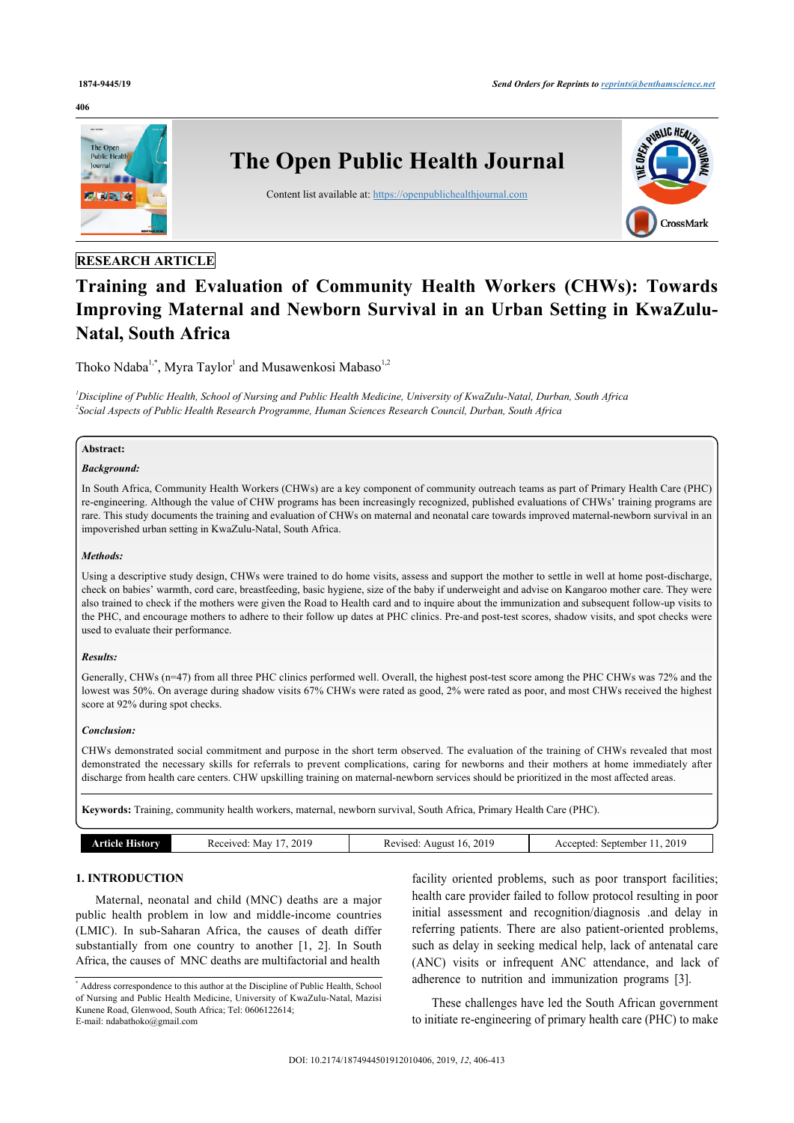#### **406**



# **RESEARCH ARTICLE**

# **Training and Evaluation of Community Health Workers (CHWs): Towards Improving Maternal and Newborn Survival in an Urban Setting in KwaZulu-Natal, South Africa**

Thoko Ndaba<sup>[1](#page-0-0),[\\*](#page-0-1)</sup>, Myra Taylor<sup>1</sup> and Musawenkosi Mabaso<sup>[1,](#page-0-0)[2](#page-0-2)</sup>

<span id="page-0-2"></span><span id="page-0-0"></span>*<sup>1</sup>Discipline of Public Health, School of Nursing and Public Health Medicine, University of KwaZulu-Natal, Durban, South Africa 2 Social Aspects of Public Health Research Programme, Human Sciences Research Council, Durban, South Africa*

# **Abstract:**

#### *Background:*

In South Africa, Community Health Workers (CHWs) are a key component of community outreach teams as part of Primary Health Care (PHC) re-engineering. Although the value of CHW programs has been increasingly recognized, published evaluations of CHWs' training programs are rare. This study documents the training and evaluation of CHWs on maternal and neonatal care towards improved maternal-newborn survival in an impoverished urban setting in KwaZulu-Natal, South Africa.

#### *Methods:*

Using a descriptive study design, CHWs were trained to do home visits, assess and support the mother to settle in well at home post-discharge, check on babies' warmth, cord care, breastfeeding, basic hygiene, size of the baby if underweight and advise on Kangaroo mother care. They were also trained to check if the mothers were given the Road to Health card and to inquire about the immunization and subsequent follow-up visits to the PHC, and encourage mothers to adhere to their follow up dates at PHC clinics. Pre-and post-test scores, shadow visits, and spot checks were used to evaluate their performance.

#### *Results:*

Generally, CHWs (n=47) from all three PHC clinics performed well. Overall, the highest post-test score among the PHC CHWs was 72% and the lowest was 50%. On average during shadow visits 67% CHWs were rated as good, 2% were rated as poor, and most CHWs received the highest score at 92% during spot checks.

#### *Conclusion:*

CHWs demonstrated social commitment and purpose in the short term observed. The evaluation of the training of CHWs revealed that most demonstrated the necessary skills for referrals to prevent complications, caring for newborns and their mothers at home immediately after discharge from health care centers. CHW upskilling training on maternal-newborn services should be prioritized in the most affected areas.

**Keywords:** Training, community health workers, maternal, newborn survival, South Africa, Primary Health Care (PHC).

| Received:<br>september<br>Mav<br>Accepted:<br>Revised<br>August<br>mw<br>16<br>ртам | 2019 | 2019 | 2019 |
|-------------------------------------------------------------------------------------|------|------|------|

# **1. INTRODUCTION**

Maternal, neonatal and child (MNC) deaths are a major public health problem in low and middle-income countries (LMIC). In sub-Saharan Africa, the causes of death differ substantially from one country to another[[1,](#page-6-0) [2](#page-6-1)]. In South Africa, the causes of MNC deaths are multifactorial and health

facility oriented problems, such as poor transport facilities; health care provider failed to follow protocol resulting in poor initial assessment and recognition/diagnosis .and delay in referring patients. There are also patient-oriented problems, such as delay in seeking medical help, lack of antenatal care (ANC) visits or infrequent ANC attendance, and lack of adherence to nutrition and immunization programs[[3](#page-6-2)].

These challenges have led the South African government to initiate re-engineering of primary health care (PHC) to make

<span id="page-0-1"></span><sup>\*</sup> Address correspondence to this author at the Discipline of Public Health, School of Nursing and Public Health Medicine, University of KwaZulu-Natal, Mazisi Kunene Road, Glenwood, South Africa; Tel: 0606122614; E-mail: [ndabathoko@gmail.com](mailto:ndabathoko@gmail.com)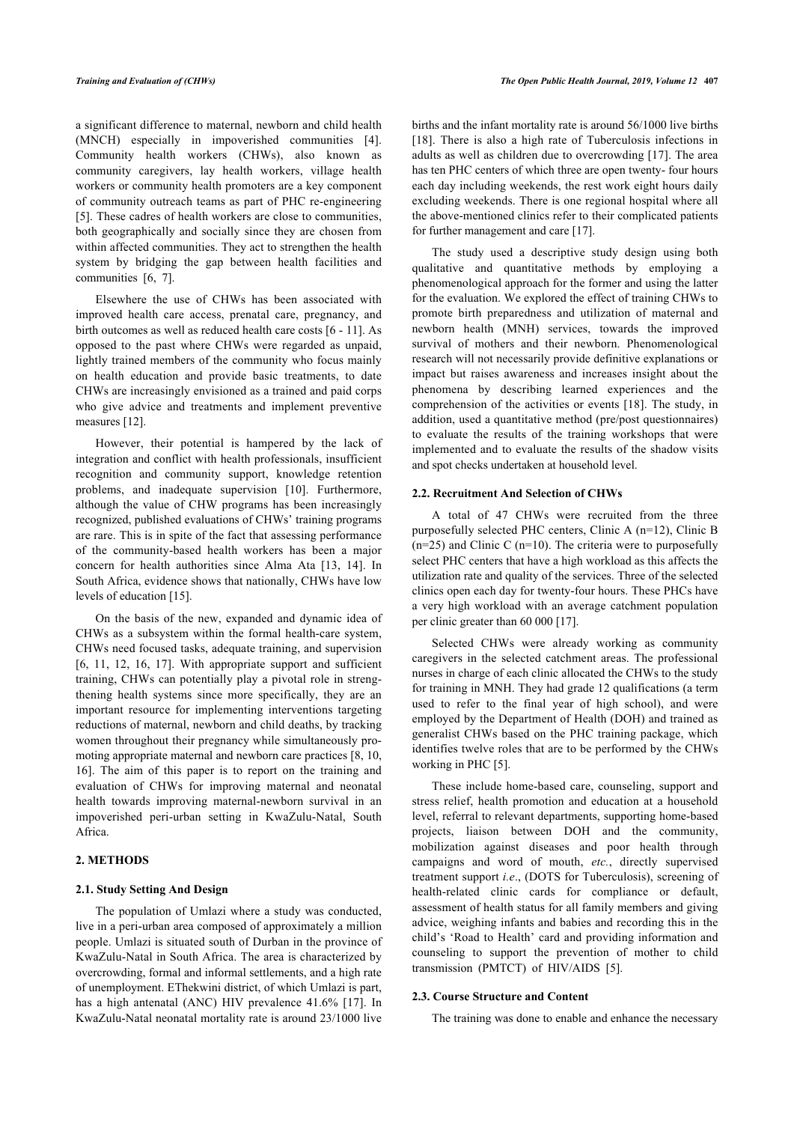a significant difference to maternal, newborn and child health (MNCH) especially in impoverished communities [\[4\]](#page-6-3). Community health workers (CHWs), also known as community caregivers, lay health workers, village health workers or community health promoters are a key component of community outreach teams as part of PHC re-engineering [[5](#page-6-4)]. These cadres of health workers are close to communities, both geographically and socially since they are chosen from within affected communities. They act to strengthen the health system by bridging the gap between health facilities and communities [\[6,](#page-6-5) [7\]](#page-6-6).

Elsewhere the use of CHWs has been associated with improved health care access, prenatal care, pregnancy, and birth outcomes as well as reduced health care costs [\[6](#page-6-5) - [11\]](#page-6-7). As opposed to the past where CHWs were regarded as unpaid, lightly trained members of the community who focus mainly on health education and provide basic treatments, to date CHWs are increasingly envisioned as a trained and paid corps who give advice and treatments and implement preventive measures [\[12](#page-6-8)].

However, their potential is hampered by the lack of integration and conflict with health professionals, insufficient recognition and community support, knowledge retention problems, and inadequate supervision[[10](#page-6-9)]. Furthermore, although the value of CHW programs has been increasingly recognized, published evaluations of CHWs' training programs are rare. This is in spite of the fact that assessing performance of the community-based health workers has been a major concern for health authorities since Alma Ata[[13](#page-6-10), [14\]](#page-6-11). In South Africa, evidence shows that nationally, CHWs have low levels of education [[15\]](#page-6-12).

On the basis of the new, expanded and dynamic idea of CHWs as a subsystem within the formal health-care system, CHWs need focused tasks, adequate training, and supervision [[6](#page-6-5), [11,](#page-6-7) [12](#page-6-8), [16](#page-6-13), [17\]](#page-6-14). With appropriate support and sufficient training, CHWs can potentially play a pivotal role in strengthening health systems since more specifically, they are an important resource for implementing interventions targeting reductions of maternal, newborn and child deaths, by tracking women throughout their pregnancy while simultaneously promoting appropriate maternal and newborn care practices [[8](#page-6-15), [10](#page-6-9), [16\]](#page-6-13). The aim of this paper is to report on the training and evaluation of CHWs for improving maternal and neonatal health towards improving maternal-newborn survival in an impoverished peri-urban setting in KwaZulu-Natal, South Africa.

#### **2. METHODS**

#### **2.1. Study Setting And Design**

The population of Umlazi where a study was conducted, live in a peri-urban area composed of approximately a million people. Umlazi is situated south of Durban in the province of KwaZulu-Natal in South Africa. The area is characterized by overcrowding, formal and informal settlements, and a high rate of unemployment. EThekwini district, of which Umlazi is part, has a high antenatal (ANC) HIV prevalence 41.6% [\[17\]](#page-6-14). In KwaZulu-Natal neonatal mortality rate is around 23/1000 live

births and the infant mortality rate is around 56/1000 live births [[18](#page-6-16)]. There is also a high rate of Tuberculosis infections in adults as well as children due to overcrowding [[17](#page-6-14)]. The area has ten PHC centers of which three are open twenty- four hours each day including weekends, the rest work eight hours daily excluding weekends. There is one regional hospital where all the above-mentioned clinics refer to their complicated patients for further management and care [\[17](#page-6-14)].

The study used a descriptive study design using both qualitative and quantitative methods by employing a phenomenological approach for the former and using the latter for the evaluation. We explored the effect of training CHWs to promote birth preparedness and utilization of maternal and newborn health (MNH) services, towards the improved survival of mothers and their newborn. Phenomenological research will not necessarily provide definitive explanations or impact but raises awareness and increases insight about the phenomena by describing learned experiences and the comprehension of the activities or events [[18](#page-6-16)]. The study, in addition, used a quantitative method (pre/post questionnaires) to evaluate the results of the training workshops that were implemented and to evaluate the results of the shadow visits and spot checks undertaken at household level.

#### **2.2. Recruitment And Selection of CHWs**

A total of 47 CHWs were recruited from the three purposefully selected PHC centers, Clinic A (n=12), Clinic B  $(n=25)$  and Clinic C  $(n=10)$ . The criteria were to purposefully select PHC centers that have a high workload as this affects the utilization rate and quality of the services. Three of the selected clinics open each day for twenty-four hours. These PHCs have a very high workload with an average catchment population per clinic greater than 60 000 [[17\]](#page-6-14).

Selected CHWs were already working as community caregivers in the selected catchment areas. The professional nurses in charge of each clinic allocated the CHWs to the study for training in MNH. They had grade 12 qualifications (a term used to refer to the final year of high school), and were employed by the Department of Health (DOH) and trained as generalist CHWs based on the PHC training package, which identifies twelve roles that are to be performed by the CHWs working in PHC [\[5\]](#page-6-4).

These include home-based care, counseling, support and stress relief, health promotion and education at a household level, referral to relevant departments, supporting home-based projects, liaison between DOH and the community, mobilization against diseases and poor health through campaigns and word of mouth, *etc.*, directly supervised treatment support *i.e*., (DOTS for Tuberculosis), screening of health-related clinic cards for compliance or default, assessment of health status for all family members and giving advice, weighing infants and babies and recording this in the child's 'Road to Health' card and providing information and counseling to support the prevention of mother to child transmission (PMTCT) of HIV/AIDS [\[5\]](#page-6-4).

#### **2.3. Course Structure and Content**

The training was done to enable and enhance the necessary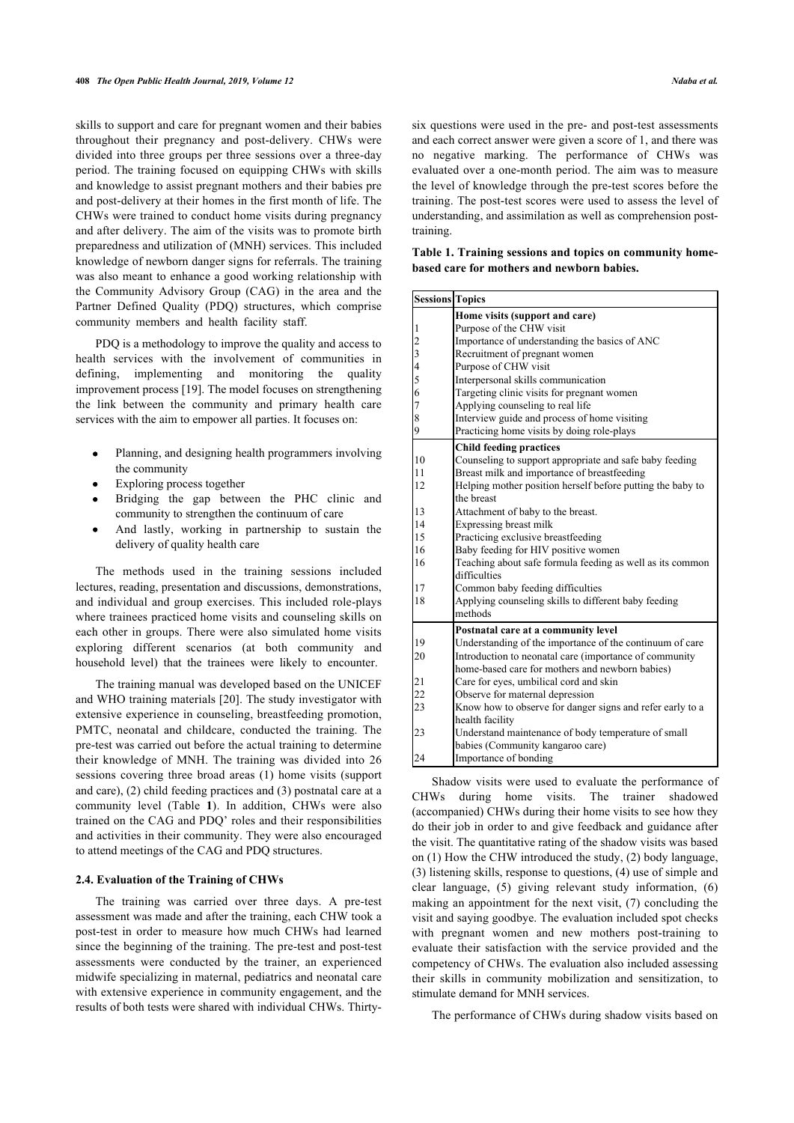skills to support and care for pregnant women and their babies throughout their pregnancy and post-delivery. CHWs were divided into three groups per three sessions over a three-day period. The training focused on equipping CHWs with skills and knowledge to assist pregnant mothers and their babies pre and post-delivery at their homes in the first month of life. The CHWs were trained to conduct home visits during pregnancy and after delivery. The aim of the visits was to promote birth preparedness and utilization of (MNH) services. This included knowledge of newborn danger signs for referrals. The training was also meant to enhance a good working relationship with the Community Advisory Group (CAG) in the area and the Partner Defined Quality (PDQ) structures, which comprise community members and health facility staff.

<span id="page-2-0"></span>PDQ is a methodology to improve the quality and access to health services with the involvement of communities in defining, implementing and monitoring the quality improvement process [\[19](#page-6-17)]. The model focuses on strengthening the link between the community and primary health care services with the aim to empower all parties. It focuses on:

- Planning, and designing health programmers involving the community
- Exploring process together
- Bridging the gap between the PHC clinic and community to strengthen the continuum of care
- And lastly, working in partnership to sustain the delivery of quality health care

The methods used in the training sessions included lectures, reading, presentation and discussions, demonstrations, and individual and group exercises. This included role-plays where trainees practiced home visits and counseling skills on each other in groups. There were also simulated home visits exploring different scenarios (at both community and household level) that the trainees were likely to encounter.

The training manual was developed based on the UNICEF and WHO training materials [\[20\]](#page-6-18). The study investigator with extensive experience in counseling, breastfeeding promotion, PMTC, neonatal and childcare, conducted the training. The pre-test was carried out before the actual training to determine their knowledge of MNH. The training was divided into 26 sessions covering three broad areas (1) home visits (support and care), (2) child feeding practices and (3) postnatal care at a community level (Table**1**). In addition, CHWs were also trained on the CAG and PDQ' roles and their responsibilities and activities in their community. They were also encouraged to attend meetings of the CAG and PDQ structures.

#### **2.4. Evaluation of the Training of CHWs**

The training was carried over three days. A pre-test assessment was made and after the training, each CHW took a post-test in order to measure how much CHWs had learned since the beginning of the training. The pre-test and post-test assessments were conducted by the trainer, an experienced midwife specializing in maternal, pediatrics and neonatal care with extensive experience in community engagement, and the results of both tests were shared with individual CHWs. Thirtysix questions were used in the pre- and post-test assessments and each correct answer were given a score of 1, and there was no negative marking. The performance of CHWs was evaluated over a one-month period. The aim was to measure the level of knowledge through the pre-test scores before the training. The post-test scores were used to assess the level of understanding, and assimilation as well as comprehension posttraining.

**Table 1. Training sessions and topics on community homebased care for mothers and newborn babies.**

| <b>Sessions Topics</b>                                |                                                                           |  |  |
|-------------------------------------------------------|---------------------------------------------------------------------------|--|--|
|                                                       | Home visits (support and care)                                            |  |  |
| 1                                                     | Purpose of the CHW visit                                                  |  |  |
|                                                       | Importance of understanding the basics of ANC                             |  |  |
| $\begin{bmatrix} 2 \\ 3 \\ 4 \\ 5 \\ 6 \end{bmatrix}$ | Recruitment of pregnant women                                             |  |  |
|                                                       | Purpose of CHW visit                                                      |  |  |
|                                                       | Interpersonal skills communication                                        |  |  |
|                                                       | Targeting clinic visits for pregnant women                                |  |  |
| $\overline{7}$                                        | Applying counseling to real life                                          |  |  |
| 8                                                     | Interview guide and process of home visiting                              |  |  |
| 9                                                     | Practicing home visits by doing role-plays                                |  |  |
|                                                       | <b>Child feeding practices</b>                                            |  |  |
| 10                                                    | Counseling to support appropriate and safe baby feeding                   |  |  |
| 11                                                    | Breast milk and importance of breastfeeding                               |  |  |
| 12                                                    | Helping mother position herself before putting the baby to                |  |  |
|                                                       | the breast                                                                |  |  |
| 13                                                    | Attachment of baby to the breast.                                         |  |  |
| 14                                                    | Expressing breast milk                                                    |  |  |
| 15                                                    | Practicing exclusive breastfeeding                                        |  |  |
| 16                                                    | Baby feeding for HIV positive women                                       |  |  |
| 16                                                    | Teaching about safe formula feeding as well as its common<br>difficulties |  |  |
| 17                                                    | Common baby feeding difficulties                                          |  |  |
| 18                                                    | Applying counseling skills to different baby feeding                      |  |  |
|                                                       | methods                                                                   |  |  |
|                                                       | Postnatal care at a community level                                       |  |  |
| 19                                                    | Understanding of the importance of the continuum of care                  |  |  |
| 20                                                    | Introduction to neonatal care (importance of community                    |  |  |
|                                                       | home-based care for mothers and newborn babies)                           |  |  |
| 21                                                    | Care for eyes, umbilical cord and skin                                    |  |  |
| 22                                                    | Observe for maternal depression                                           |  |  |
| 23                                                    | Know how to observe for danger signs and refer early to a                 |  |  |
|                                                       | health facility                                                           |  |  |
| 23                                                    | Understand maintenance of body temperature of small                       |  |  |
|                                                       | babies (Community kangaroo care)                                          |  |  |
| 24                                                    | Importance of bonding                                                     |  |  |

Shadow visits were used to evaluate the performance of CHWs during home visits. The trainer shadowed (accompanied) CHWs during their home visits to see how they do their job in order to and give feedback and guidance after the visit. The quantitative rating of the shadow visits was based on (1) How the CHW introduced the study, (2) body language, (3) listening skills, response to questions, (4) use of simple and clear language, (5) giving relevant study information, (6) making an appointment for the next visit, (7) concluding the visit and saying goodbye. The evaluation included spot checks with pregnant women and new mothers post-training to evaluate their satisfaction with the service provided and the competency of CHWs. The evaluation also included assessing their skills in community mobilization and sensitization, to stimulate demand for MNH services.

The performance of CHWs during shadow visits based on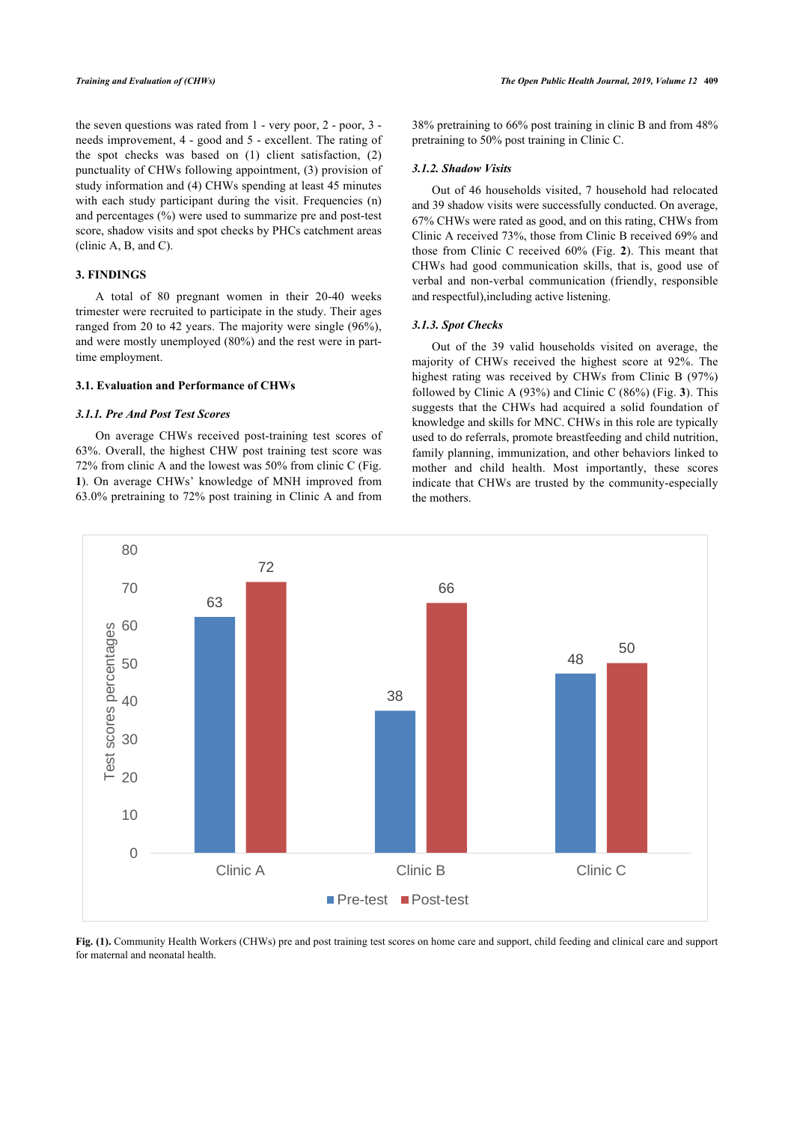the seven questions was rated from 1 - very poor, 2 - poor, 3 needs improvement, 4 - good and 5 - excellent. The rating of the spot checks was based on (1) client satisfaction, (2) punctuality of CHWs following appointment, (3) provision of study information and (4) CHWs spending at least 45 minutes with each study participant during the visit. Frequencies (n) and percentages (%) were used to summarize pre and post-test score, shadow visits and spot checks by PHCs catchment areas (clinic A, B, and C).

# **3. FINDINGS**

A total of 80 pregnant women in their 20-40 weeks trimester were recruited to participate in the study. Their ages ranged from 20 to 42 years. The majority were single (96%), and were mostly unemployed (80%) and the rest were in parttime employment.

#### **3.1. Evaluation and Performance of CHWs**

#### *3.1.1. Pre And Post Test Scores*

On average CHWs received post-training test scores of 63%. Overall, the highest CHW post training test score was 72% from clinic A and the lowest was 50% from clinic C (Fig. **[1](#page-3-0)**). On average CHWs' knowledge of MNH improved from 63.0% pretraining to 72% post training in Clinic A and from

38% pretraining to 66% post training in clinic B and from 48% pretraining to 50% post training in Clinic C.

#### *3.1.2. Shadow Visits*

Out of 46 households visited, 7 household had relocated and 39 shadow visits were successfully conducted. On average, 67% CHWs were rated as good, and on this rating, CHWs from Clinic A received 73%, those from Clinic B received 69% and those from Clinic C received 60% (Fig.**2**). This meant that CHWs had good communication skills, that is, good use of verbal and non-verbal communication (friendly, responsible and respectful),including active listening.

#### *3.1.3. Spot Checks*

Out of the 39 valid households visited on average, the majority of CHWs received the highest score at 92%. The highest rating was received by CHWs from Clinic B (97%) followed by Clinic A (93%) and Clinic C (86%) (Fig. **[3](#page-4-0)**). This suggests that the CHWs had acquired a solid foundation of knowledge and skills for MNC. CHWs in this role are typically used to do referrals, promote breastfeeding and child nutrition, family planning, immunization, and other behaviors linked to mother and child health. Most importantly, these scores indicate that CHWs are trusted by the community-especially the mothers.

<span id="page-3-0"></span>

<span id="page-3-1"></span>**Fig. (1).** Community Health Workers (CHWs) pre and post training test scores on home care and support, child feeding and clinical care and support for maternal and neonatal health.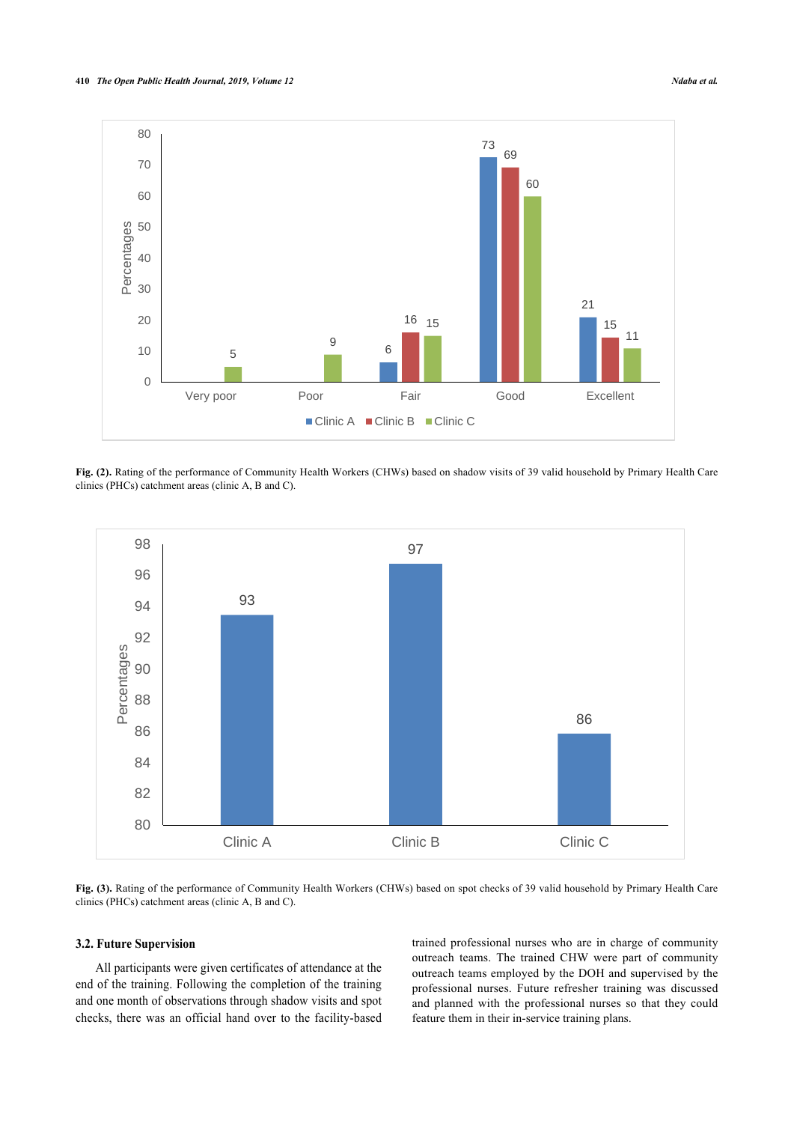

**Fig. (2).** Rating of the performance of Community Health Workers (CHWs) based on shadow visits of 39 valid household by Primary Health Care clinics (PHCs) catchment areas (clinic A, B and C).

<span id="page-4-0"></span>

**Fig. (3).** Rating of the performance of Community Health Workers (CHWs) based on spot checks of 39 valid household by Primary Health Care clinics (PHCs) catchment areas (clinic A, B and C).

# **3.2. Future Supervision**

All participants were given certificates of attendance at the end of the training. Following the completion of the training and one month of observations through shadow visits and spot checks, there was an official hand over to the facility-based

trained professional nurses who are in charge of community outreach teams. The trained CHW were part of community outreach teams employed by the DOH and supervised by the professional nurses. Future refresher training was discussed and planned with the professional nurses so that they could feature them in their in-service training plans.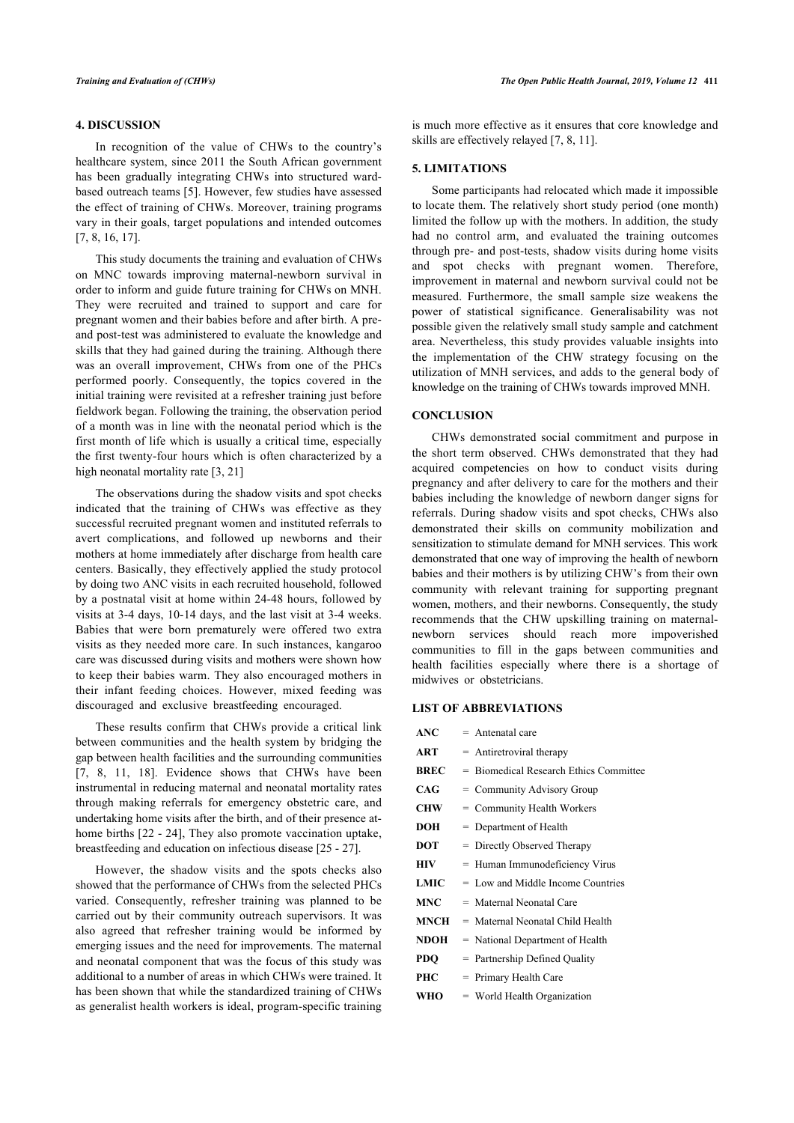# **4. DISCUSSION**

In recognition of the value of CHWs to the country's healthcare system, since 2011 the South African government has been gradually integrating CHWs into structured wardbased outreach teams [[5](#page-6-4)]. However, few studies have assessed the effect of training of CHWs. Moreover, training programs vary in their goals, target populations and intended outcomes [[7](#page-6-6), [8](#page-6-15), [16,](#page-6-13) [17](#page-6-14)].

This study documents the training and evaluation of CHWs on MNC towards improving maternal-newborn survival in order to inform and guide future training for CHWs on MNH. They were recruited and trained to support and care for pregnant women and their babies before and after birth. A preand post-test was administered to evaluate the knowledge and skills that they had gained during the training. Although there was an overall improvement, CHWs from one of the PHCs performed poorly. Consequently, the topics covered in the initial training were revisited at a refresher training just before fieldwork began. Following the training, the observation period of a month was in line with the neonatal period which is the first month of life which is usually a critical time, especially the first twenty-four hours which is often characterized by a high neonatal mortality rate [[3](#page-6-2), [21\]](#page-6-19)

The observations during the shadow visits and spot checks indicated that the training of CHWs was effective as they successful recruited pregnant women and instituted referrals to avert complications, and followed up newborns and their mothers at home immediately after discharge from health care centers. Basically, they effectively applied the study protocol by doing two ANC visits in each recruited household, followed by a postnatal visit at home within 24-48 hours, followed by visits at 3-4 days, 10-14 days, and the last visit at 3-4 weeks. Babies that were born prematurely were offered two extra visits as they needed more care. In such instances, kangaroo care was discussed during visits and mothers were shown how to keep their babies warm. They also encouraged mothers in their infant feeding choices. However, mixed feeding was discouraged and exclusive breastfeeding encouraged.

These results confirm that CHWs provide a critical link between communities and the health system by bridging the gap between health facilities and the surrounding communities [[7](#page-6-6), [8,](#page-6-15) [11](#page-6-7), [18\]](#page-6-16). Evidence shows that CHWs have been instrumental in reducing maternal and neonatal mortality rates through making referrals for emergency obstetric care, and undertaking home visits after the birth, and of their presence athome births [[22](#page-6-20) - [24\]](#page-6-21), They also promote vaccination uptake, breastfeeding and education on infectious disease [\[25](#page-7-0) - [27\]](#page-7-1).

However, the shadow visits and the spots checks also showed that the performance of CHWs from the selected PHCs varied. Consequently, refresher training was planned to be carried out by their community outreach supervisors. It was also agreed that refresher training would be informed by emerging issues and the need for improvements. The maternal and neonatal component that was the focus of this study was additional to a number of areas in which CHWs were trained. It has been shown that while the standardized training of CHWs as generalist health workers is ideal, program-specific training

is much more effective as it ensures that core knowledge and skills are effectively relayed [[7](#page-6-6), [8](#page-6-15), [11\]](#page-6-7).

# **5. LIMITATIONS**

Some participants had relocated which made it impossible to locate them. The relatively short study period (one month) limited the follow up with the mothers. In addition, the study had no control arm, and evaluated the training outcomes through pre- and post-tests, shadow visits during home visits and spot checks with pregnant women. Therefore, improvement in maternal and newborn survival could not be measured. Furthermore, the small sample size weakens the power of statistical significance. Generalisability was not possible given the relatively small study sample and catchment area. Nevertheless, this study provides valuable insights into the implementation of the CHW strategy focusing on the utilization of MNH services, and adds to the general body of knowledge on the training of CHWs towards improved MNH.

# **CONCLUSION**

CHWs demonstrated social commitment and purpose in the short term observed. CHWs demonstrated that they had acquired competencies on how to conduct visits during pregnancy and after delivery to care for the mothers and their babies including the knowledge of newborn danger signs for referrals. During shadow visits and spot checks, CHWs also demonstrated their skills on community mobilization and sensitization to stimulate demand for MNH services. This work demonstrated that one way of improving the health of newborn babies and their mothers is by utilizing CHW's from their own community with relevant training for supporting pregnant women, mothers, and their newborns. Consequently, the study recommends that the CHW upskilling training on maternalnewborn services should reach more impoverished communities to fill in the gaps between communities and health facilities especially where there is a shortage of midwives or obstetricians.

# **LIST OF ABBREVIATIONS**

- **ART** = Antiretroviral therapy
- **BREC** = Biomedical Research Ethics Committee
- **CAG** = Community Advisory Group
- **CHW** = Community Health Workers
- **DOH** = Department of Health
- **DOT** = Directly Observed Therapy
- **HIV** = Human Immunodeficiency Virus
- **LMIC** = Low and Middle Income Countries
- **MNC** = Maternal Neonatal Care
- **MNCH** = Maternal Neonatal Child Health
- **NDOH** = National Department of Health
- **PDO** = Partnership Defined Quality
- **PHC** = Primary Health Care
- **WHO** = World Health Organization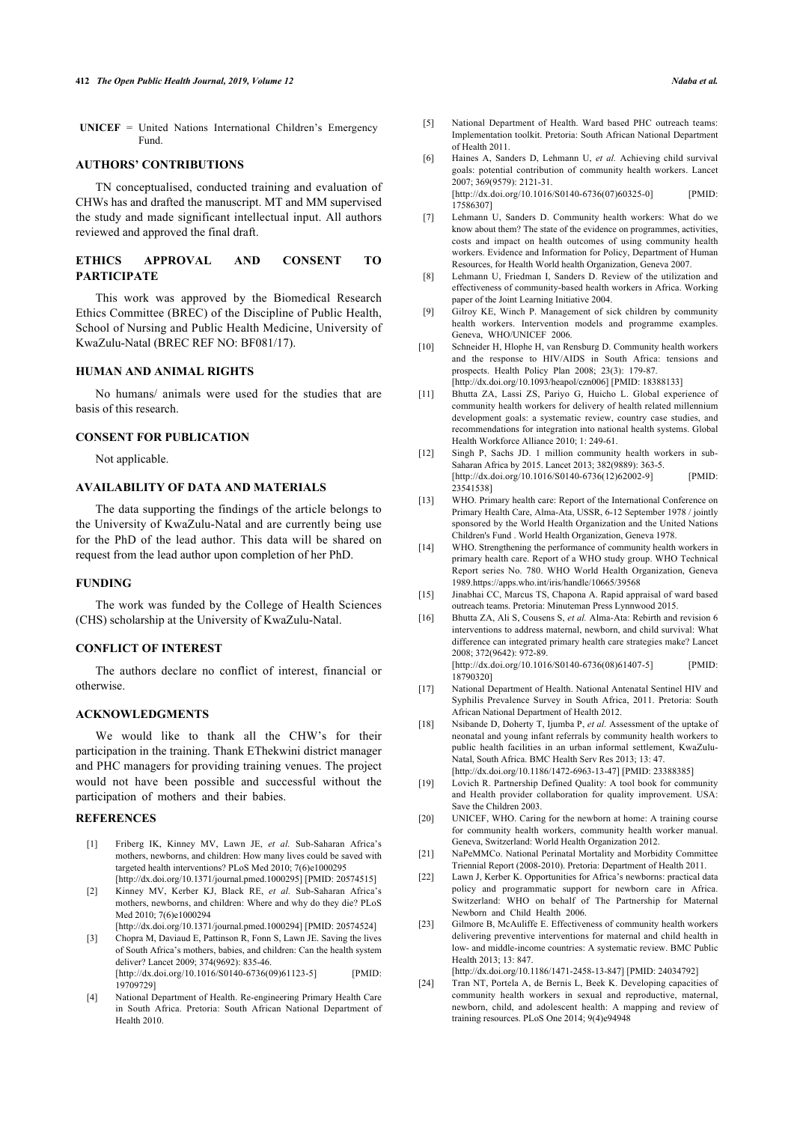<span id="page-6-4"></span>**UNICEF** = United Nations International Children's Emergency Fund.

#### <span id="page-6-5"></span>**AUTHORS' CONTRIBUTIONS**

<span id="page-6-6"></span>TN conceptualised, conducted training and evaluation of CHWs has and drafted the manuscript. MT and MM supervised the study and made significant intellectual input. All authors reviewed and approved the final draft.

# <span id="page-6-15"></span>**ETHICS APPROVAL AND CONSENT TO PARTICIPATE**

This work was approved by the Biomedical Research Ethics Committee (BREC) of the Discipline of Public Health, School of Nursing and Public Health Medicine, University of KwaZulu-Natal (BREC REF NO: BF081/17).

# <span id="page-6-9"></span>**HUMAN AND ANIMAL RIGHTS**

<span id="page-6-7"></span>No humans/ animals were used for the studies that are basis of this research.

#### <span id="page-6-8"></span>**CONSENT FOR PUBLICATION**

Not applicable.

# **AVAILABILITY OF DATA AND MATERIALS**

<span id="page-6-11"></span><span id="page-6-10"></span>The data supporting the findings of the article belongs to the University of KwaZulu-Natal and are currently being use for the PhD of the lead author. This data will be shared on request from the lead author upon completion of her PhD.

#### **FUNDING**

<span id="page-6-13"></span><span id="page-6-12"></span>The work was funded by the College of Health Sciences (CHS) scholarship at the University of KwaZulu-Natal.

# **CONFLICT OF INTEREST**

<span id="page-6-14"></span>The authors declare no conflict of interest, financial or otherwise.

#### **ACKNOWLEDGMENTS**

<span id="page-6-16"></span>We would like to thank all the CHW's for their participation in the training. Thank EThekwini district manager and PHC managers for providing training venues. The project would not have been possible and successful without the participation of mothers and their babies.

#### <span id="page-6-19"></span><span id="page-6-18"></span><span id="page-6-17"></span><span id="page-6-0"></span>**REFERENCES**

- [1] Friberg IK, Kinney MV, Lawn JE, *et al.* Sub-Saharan Africa's mothers, newborns, and children: How many lives could be saved with targeted health interventions? PLoS Med 2010; 7(6)e1000295 [\[http://dx.doi.org/10.1371/journal.pmed.1000295\]](http://dx.doi.org/10.1371/journal.pmed.1000295) [PMID: [20574515](http://www.ncbi.nlm.nih.gov/pubmed/20574515)]
- <span id="page-6-20"></span><span id="page-6-1"></span>[2] Kinney MV, Kerber KJ, Black RE, *et al.* Sub-Saharan Africa's mothers, newborns, and children: Where and why do they die? PLoS Med 2010; 7(6)e1000294 [\[http://dx.doi.org/10.1371/journal.pmed.1000294\]](http://dx.doi.org/10.1371/journal.pmed.1000294) [PMID: [20574524](http://www.ncbi.nlm.nih.gov/pubmed/20574524)]
- <span id="page-6-2"></span>[3] Chopra M, Daviaud E, Pattinson R, Fonn S, Lawn JE. Saving the lives of South Africa's mothers, babies, and children: Can the health system deliver? Lancet 2009; 374(9692): 835-46. [\[http://dx.doi.org/10.1016/S0140-6736\(09\)61123-5](http://dx.doi.org/10.1016/S0140-6736(09)61123-5)] [PMID: [19709729\]](http://www.ncbi.nlm.nih.gov/pubmed/19709729)
- <span id="page-6-21"></span><span id="page-6-3"></span>[4] National Department of Health. Re-engineering Primary Health Care in South Africa. Pretoria: South African National Department of Health 2010.
- [5] National Department of Health. Ward based PHC outreach teams: Implementation toolkit. Pretoria: South African National Department of Health 2011.
- [6] Haines A, Sanders D, Lehmann U, *et al.* Achieving child survival goals: potential contribution of community health workers. Lancet 2007; 369(9579): 2121-31. [\[http://dx.doi.org/10.1016/S0140-6736\(07\)60325-0](http://dx.doi.org/10.1016/S0140-6736(07)60325-0)] [PMID: [17586307\]](http://www.ncbi.nlm.nih.gov/pubmed/17586307)
- [7] Lehmann U, Sanders D. Community health workers: What do we know about them? The state of the evidence on programmes, activities, costs and impact on health outcomes of using community health workers. Evidence and Information for Policy, Department of Human Resources, for Health World health Organization, Geneva 2007.
- [8] Lehmann U, Friedman I, Sanders D. Review of the utilization and effectiveness of community-based health workers in Africa. Working paper of the Joint Learning Initiative 2004.
- [9] Gilroy KE, Winch P. Management of sick children by community health workers. Intervention models and programme examples. Geneva, WHO/UNICEE 2006.
- [10] Schneider H, Hlophe H, van Rensburg D. Community health workers and the response to HIV/AIDS in South Africa: tensions and prospects. Health Policy Plan 2008; 23(3): 179-87. [\[http://dx.doi.org/10.1093/heapol/czn006](http://dx.doi.org/10.1093/heapol/czn006)] [PMID: [18388133\]](http://www.ncbi.nlm.nih.gov/pubmed/18388133)
- [11] Bhutta ZA, Lassi ZS, Pariyo G, Huicho L. Global experience of community health workers for delivery of health related millennium development goals: a systematic review, country case studies, and recommendations for integration into national health systems. Global Health Workforce Alliance 2010; 1: 249-61.
- [12] Singh P, Sachs JD. 1 million community health workers in sub-Saharan Africa by 2015. Lancet 2013; 382(9889): 363-5. [\[http://dx.doi.org/10.1016/S0140-6736\(12\)62002-9](http://dx.doi.org/10.1016/S0140-6736(12)62002-9)] [PMID: [23541538\]](http://www.ncbi.nlm.nih.gov/pubmed/23541538)
- [13] WHO. Primary health care: Report of the International Conference on Primary Health Care, Alma-Ata, USSR, 6-12 September 1978 / jointly sponsored by the World Health Organization and the United Nations Children's Fund . World Health Organization, Geneva 1978.
- [14] WHO. Strengthening the performance of community health workers in primary health care. Report of a WHO study group. WHO Technical Report series No. 780. WHO World Health Organization, Geneva 1989.<https://apps.who.int/iris/handle/10665/39568>
- [15] Jinabhai CC, Marcus TS, Chapona A. Rapid appraisal of ward based outreach teams. Pretoria: Minuteman Press Lynnwood 2015.
- [16] Bhutta ZA, Ali S, Cousens S, *et al.* Alma-Ata: Rebirth and revision 6 interventions to address maternal, newborn, and child survival: What difference can integrated primary health care strategies make? Lancet 2008; 372(9642): 972-89. [\[http://dx.doi.org/10.1016/S0140-6736\(08\)61407-5](http://dx.doi.org/10.1016/S0140-6736(08)61407-5)] [PMID:
- [18790320\]](http://www.ncbi.nlm.nih.gov/pubmed/18790320) [17] National Department of Health. National Antenatal Sentinel HIV and Syphilis Prevalence Survey in South Africa, 2011. Pretoria: South African National Department of Health 2012.
- [18] Nsibande D, Doherty T, Ijumba P, *et al.* Assessment of the uptake of neonatal and young infant referrals by community health workers to public health facilities in an urban informal settlement, KwaZulu-Natal, South Africa. BMC Health Serv Res 2013; 13: 47. [\[http://dx.doi.org/10.1186/1472-6963-13-47](http://dx.doi.org/10.1186/1472-6963-13-47)] [PMID: [23388385](http://www.ncbi.nlm.nih.gov/pubmed/23388385)]
- [19] Lovich R. Partnership Defined Quality: A tool book for community and Health provider collaboration for quality improvement. USA: Save the Children 2003.
- [20] UNICEF, WHO. Caring for the newborn at home: A training course for community health workers, community health worker manual. Geneva, Switzerland: World Health Organization 2012.
- [21] NaPeMMCo. National Perinatal Mortality and Morbidity Committee Triennial Report (2008-2010). Pretoria: Department of Health 2011.
- [22] Lawn J, Kerber K, Opportunities for Africa's newborns: practical data policy and programmatic support for newborn care in Africa. Switzerland: WHO on behalf of The Partnership for Maternal Newborn and Child Health 2006.
- [23] Gilmore B, McAuliffe E. Effectiveness of community health workers delivering preventive interventions for maternal and child health in low- and middle-income countries: A systematic review. BMC Public Health 2013; 13: 847. [\[http://dx.doi.org/10.1186/1471-2458-13-847\]](http://dx.doi.org/10.1186/1471-2458-13-847) [PMID: [24034792\]](http://www.ncbi.nlm.nih.gov/pubmed/24034792)
- [24] Tran NT, Portela A, de Bernis L, Beek K. Developing capacities of community health workers in sexual and reproductive, maternal, newborn, child, and adolescent health: A mapping and review of training resources. PLoS One 2014; 9(4)e94948